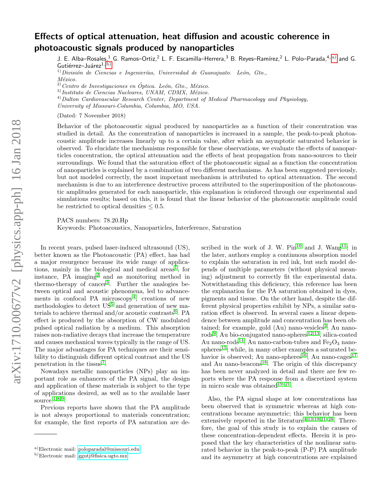## Effects of optical attenuation, heat diffusion and acoustic coherence in photoacoustic signals produced by nanoparticles

J. E. Alba–Rosales,<sup>1</sup> G. Ramos–Ortiz,<sup>2</sup> L. F. Escamilla–Herrera,<sup>3</sup> B. Reyes–Ramírez,<sup>2</sup> L. Polo–Parada,<sup>4, [a\)](#page-0-0)</sup> and G. Gutiérrez–Juárez $1, b$ )

 $1)$ División de Ciencias e Ingenierías, Universidad de Guanajuato. León, Gto., México.

 $^{2)}$ Centro de Investigaciones en Óptica. León, Gto., México.

 $^{\rm 3)}$  Instituto de Ciencias Nucleares, UNAM, CDMX, México.

 $4)$ Dalton Cardiovascular Research Center, Department of Medical Pharmacology and Physiology,

University of Missouri-Columbia, Columbia, MO, USA.

(Dated: 7 November 2018)

Behavior of the photoacoustic signal produced by nanoparticles as a function of their concentration was studied in detail. As the concentration of nanoparticles is increased in a sample, the peak-to-peak photoacoustic amplitude increases linearly up to a certain value, after which an asymptotic saturated behavior is observed. To elucidate the mechanisms responsible for these observations, we evaluate the effects of nanoparticles concentration, the optical attenuation and the effects of heat propagation from nano-sources to their surroundings. We found that the saturation effect of the photoacoustic signal as a function the concentration of nanoparticles is explained by a combination of two different mechanisms. As has been suggested previously, but not modeled correctly, the most important mechanism is attributed to optical attenuation. The second mechanism is due to an interference destructive process attributed to the superimposition of the photoacoustic amplitudes generated for each nanoparticle, this explanation is reinforced through our experimental and simulations results; based on this, it is found that the linear behavior of the photoacoustic amplitude could be restricted to optical densities  $\leq 0.5$ .

PACS numbers: 78.20.Hp

Keywords: Photoacoustics, Nanoparticles, Interference, Saturation

In recent years, pulsed laser-induced ultrasound (US), better known as the Photoacoustic (PA) effect, has had a major resurgence because its wide range of applica-tions, mainly in the biological and medical areas<sup>[1](#page-4-0)</sup>, for instance,  $\overrightarrow{PA}$  imaging<sup>[2](#page-4-1)</sup> and as monitoring method in thermo-therapy of cancer<sup>[3](#page-4-2)</sup>. Further the analogies between optical and acoustic phenomena, led to advance-ments in confocal PA microscopy<sup>[4](#page-4-3)</sup>, creations of new methodologies to detect  $US^5$  $US^5$  and generation of new ma-terials to achieve thermal and/or acoustic contrasts<sup>[6](#page-4-5)</sup>. PA effect is produced by the absorption of CW modulated pulsed optical radiation by a medium. This absorption raises non-radiative decays that increase the temperature and causes mechanical waves typically in the range of US. The major advantages for PA techniques are their sensibility to distinguish different optical contrast and the US penetration in the tissue<sup>[7](#page-4-6)</sup>.

Nowadays metallic nanoparticles (NPs) play an important role as enhancers of the PA signal, the design and application of these materials is subject to the type of applications desired, as well as to the available laser source.[1](#page-4-0)[,8](#page-4-7)[,9](#page-4-8) .

Previous reports have shown that the PA amplitude is not always proportional to materials concentration; for example, the first reports of PA saturation are described in the work of J. W.  $Pin^{10}$  $Pin^{10}$  $Pin^{10}$  and J. Wang<sup>[11](#page-4-10)</sup>; in the later, authors employ a continuous absorption model to explain the saturation in red ink, but such model depends of multiple parameters (without physical meaning) adjustment to correctly fit the experimental data. Notwithstanding this deficiency, this reference has been the explanation for the PA saturation obtained in dyes, pigments and tissue. On the other hand, despite the different physical properties exhibit by NPs, a similar saturation effect is observed. In several cases a linear dependence between amplitude and concentration has been ob-tained; for example, gold (Au) nano-vesicles<sup>[3](#page-4-2)</sup>, Au nano-rods<sup>[9](#page-4-8)</sup>, Au bio-conjugated nano-spheres<sup>[12](#page-4-11)[,13](#page-4-12)</sup>, silica-coated Au nano-rods<sup>[14](#page-4-13)</sup>, Au nano-carbon-tubes and  $Fe<sub>2</sub>O<sub>3</sub>$  nano-spheres<sup>[15](#page-4-14)</sup>; while, in many other examples a saturated be-havior is observed; Au nano-spheres<sup>[16](#page-4-15)</sup>, Au nano-cages<sup>[17](#page-4-16)</sup> and Au nano-beacons $18$ . The origin of this discrepancy has been never analyzed in detail and there are few reports where the PA response from a discretized system in micro scale was obtained  $19-21$  $19-21$ .

Also, the PA signal shape at low concentrations has been observed that is symmetric whereas at high concentrations became asymmetric; this behavior has been extensively reported in the literature<sup>[4,](#page-4-3)[13,](#page-4-12)[19,](#page-4-18)[21–](#page-4-19)[28](#page-4-20)</sup>. Therefore, the goal of this study is to explain the causes of these concentration-dependent effects. Herein it is proposed that the key characteristics of the nonlinear saturated behavior in the peak-to-peak (P-P) PA amplitude and its asymmetry at high concentrations are explained

<span id="page-0-0"></span>a)Electronic mail: [poloparadal@missouri.edu](mailto:poloparadal@missouri.edu)

<span id="page-0-1"></span>b)Electronic mail: [ggutj@fisica.ugto.mx](mailto:ggutj@fisica.ugto.mx)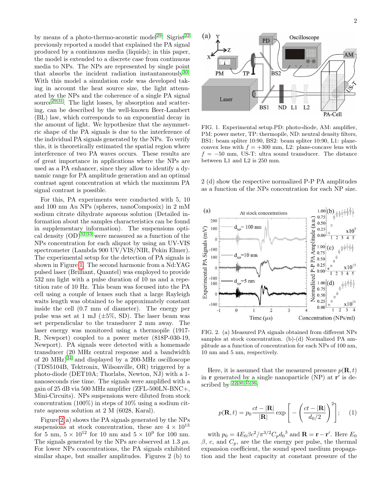by means of a photo-thermo-acoustic model<sup>[29](#page-4-21)</sup>. Sigrist<sup>[22](#page-4-22)</sup> previously reported a model that explained the PA signal produced by a continuous media (liquids); in this paper, the model is extended to a discrete case from continuous media to NPs. The NPs are represented by single point that absorbs the incident radiation instantaneously<sup>[30](#page-4-23)</sup>. With this model a simulation code was developed taking in account the heat source size, the light attenuated by the NPs and the coherence of a single PA signal source $^{29,31}$  $^{29,31}$  $^{29,31}$  $^{29,31}$ . The light losses, by absorption and scattering, can be described by the well-known Beer-Lambert (BL) law, which corresponds to an exponential decay in the amount of light. We hypothesize that the asymmetric shape of the PA signals is due to the interference of the individual PA signals generated by the NPs. To verify this, it is theoretically estimated the spatial region where interference of two PA waves occurs. These results are of great importance in applications where the NPs are used as a PA enhancer, since they allow to identify a dynamic range for PA amplitude generation and an optimal contrast agent concentration at which the maximum PA signal contrast is possible.

For this, PA experiments were conducted with 5, 10 and 100 nm Au NPs (spheres, nanoComposix) in 2 mM sodium citrate dihydrate aqueous solution (Detailed information about the samples characteristics can be found in supplementary information). The suspensions optical density  $(OD)^{32,33}$  $(OD)^{32,33}$  $(OD)^{32,33}$  $(OD)^{32,33}$  were measured as a function of the NPs concentration for each aliquot by using an UV-VIS spectrometer (Lambda 900 UV/VIS/NIR, Pekin Elmer). The experimental setup for the detection of PA signals is shown in Figure [1.](#page-1-0) The second harmonic from a Nd:YAG pulsed laser (Brilliant, Quantel) was employed to provide 532 nm light with a pulse duration of 10 ns and a repetition rate of 10 Hz. This beam was focused into the PA cell using a couple of lenses such that a large Rayleigh waits length was obtained to be approximately constant inside the cell (0.7 mm of diameter). The energy per pulse was set at 1 mJ  $(\pm 5\%, SD)$ . The laser beam was set perpendicular to the transducer 2 mm away. The laser energy was monitored using a thermopile (1917- R, Newport) coupled to a power meter (818P-030-19, Newport). PA signals were detected with a homemade transducer (20 MHz central response and a bandwidth of 20 MHz) $34$  and displayed by a 200-MHz oscilloscope (TDS5104B, Tektronix, Wilsonville, OR) triggered by a photo-diode (DET10A; Thorlabs, Newton, NJ) with a 1 nanoseconds rise time. The signals were amplified with a gain of 25 dB via 500 MHz amplifier (ZFL-500LN-BNC+, Mini-Circuits). NPs suspensions were diluted from stock concentration (100%) in steps of 10% using a sodium citrate aqueous solution at 2 M (6028, Karal).

Figure [2\(](#page-1-1)a) shows the PA signals generated by the NPs suspensions at stock concentration, these are  $4 \times 10^{13}$ for 5 nm,  $5 \times 10^{12}$  for 10 nm and  $5 \times 10^{9}$  for 100 nm. The signals generated by the NPs are observed at 1.3  $\mu$ s. For lower NPs concentrations, the PA signals exhibited similar shape, but smaller amplitudes. Figures 2 (b) to



<span id="page-1-0"></span>FIG. 1. Experimental setup.PD: photo-diode, AM: amplifier, PM: power meter, TP: thermopile, ND: neutral density filters, BS1: beam spliter 10:90, BS2: beam spliter 10:90, L1: planeconvex lens with  $f = +300$  mm, L2: plane-concave lens with  $f = -50$  mm, US-T: ultra sound transducer. The distance between L1 and L2 is 250 mm.

2 (d) show the respective normalized P-P PA amplitudes as a function of the NPs concentration for each NP size.



<span id="page-1-1"></span>FIG. 2. (a) Measured PA signals obtained from different NPs samples at stock concentration. (b)-(d) Normalized PA amplitude as a function of concentration for each NPs of 100 nm, 10 nm and 5 nm, respectively.

Here, it is assumed that the measured pressure  $p(\mathbf{R}, t)$ in  $\bf{r}$  generated by a single nanoparticle (NP) at  $\bf{r}'$  is described by  $22,30,35,36$  $22,30,35,36$  $22,30,35,36$  $22,30,35,36$ :

<span id="page-1-2"></span>
$$
p(\mathbf{R},t) = p_0 \frac{ct - |\mathbf{R}|}{|\mathbf{R}|} \exp\left[-\left(\frac{ct - |\mathbf{R}|}{d_0/2}\right)^2\right];\quad(1)
$$

with  $p_0 = 4E_0 \beta c^2 / \pi^{3/2} C_p d_0^3$  and  $\mathbf{R} = \mathbf{r} - \mathbf{r}'$ . Here  $E_0$  $\beta$ , c, and  $C_p$ , are the the energy per pulse, the thermal expansion coefficient, the sound speed medium propagation and the heat capacity at constant pressure of the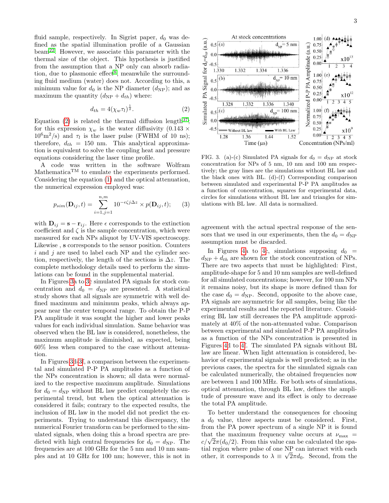fluid sample, respectively. In Sigrist paper,  $d_0$  was defined as the spatial illumination profile of a Gaussian beam[22](#page-4-22). However, we associate this parameter with the thermal size of the object. This hypothesis is justified from the assumption that a NP only can absorb radia-tion, due to plasmonic effect<sup>[8](#page-4-7)</sup>, meanwhile the surrounding fluid medium (water) does not. According to this, a minimum value for  $d_0$  is the NP diameter  $(d_{\rm NP})$ ; and as maximum the quantity  $(d_{\text{NP}} + d_{th})$  where:

<span id="page-2-0"></span>
$$
d_{th} = 4(\chi_w \tau_l)^{\frac{1}{2}}.
$$
\n<sup>(2)</sup>

Equation [\(2\)](#page-2-0) is related the thermal diffusion length<sup>[37](#page-4-30)</sup>; for this expression  $\chi_w$  is the water diffusivity (0.143  $\times$  $10^6 \text{m}^2/\text{s}$ ) and  $\tau_l$  is the laser pulse (FWHM of 10 ns); therefore,  $d_{th} = 150$  nm. This analytical approximation is equivalent to solve the coupling heat and pressure equations considering the laser time profile.

A code was written in the software Wolfram Mathematica $^{TM}$  to emulate the experiments performed. Considering the equation [\(1\)](#page-1-2) and the optical attenuation, the numerical expression employed was:

$$
p_{sim}(\mathbf{D}_{ij},t) = \sum_{i=1,j=1}^{n,m} 10^{-\epsilon\zeta j\Delta z} \times p(\mathbf{D}_{ij},t); \qquad (3)
$$

with  $\mathbf{D}_{ij} = \mathbf{s} - \mathbf{r}_{ij}$ . Here  $\epsilon$  corresponds to the extinction coefficient and  $\zeta$  is the sample concentration, which were measured for each NPs aliquot by UV-VIS spectroscopy. Likewise , s corresponds to the sensor position. Counters  $i$  and  $j$  are used to label each NP and the cylinder section, respectively, the length of the sections is  $\Delta z$ . The complete methodology details used to perform the simulations can be found in the supplemental material.

In Figures [3a](#page-2-1) to [3c](#page-2-1) simulated PA signals for stock concentration and  $d_0 = d_{\text{NP}}$  are presented. A statistical study shows that all signals are symmetric with well defined maximum and minimum peaks, which always appear near the center temporal range. To obtain the P-P PA amplitude it was sought the higher and lower peaks values for each individual simulation. Same behavior was observed when the BL law is considered, nonetheless, the maximum amplitude is diminished, as expected, being 60% less when compared to the case without attenuation.

In Figures [3d-3f](#page-2-1), a comparison between the experimental and simulated P-P PA amplitudes as a function of the NPs concentration is shown; all data were normalized to the respective maximum amplitude. Simulations for  $d_0 = d_{\text{NP}}$  without BL law predict completely the experimental trend, but when the optical attenuation is considered it fails; contrary to the expected results, the inclusion of BL law in the model did not predict the experiments. Trying to understand this discrepancy, the numerical Fourier transform can be performed to the simulated signals, when doing this a broad spectra are predicted with high central frequencies for  $d_0 = d_{\text{NP}}$ . The frequencies are at 100 GHz for the 5 nm and 10 nm samples and at 10 GHz for 100 nm; however, this is not in



<span id="page-2-1"></span>FIG. 3. (a)-(c) Simulated PA signals for  $d_0 = d_{\text{NP}}$  at stock concentration for NPs of 5 nm, 10 nm and 100 nm respectively; the gray lines are the simulations without BL law and the black ones with BL. (d)-(f) Corresponding comparison between simulated and experimental P-P PA amplitudes as a function of concentration, squares for experimental data, circles for simulations without BL law and triangles for simulations with BL law. All data is normalized.

agreement with the actual spectral response of the sensors that we used in our experiments, then the  $d_0 = d_{\text{NP}}$ assumption must be discarded.

In Figures [4a](#page-3-0) to [4c](#page-3-0), simulations supposing  $d_0 =$  $d_{\text{NP}} + d_{th}$  are shown for the stock concentration of NPs. There are two aspects that must be highlighted: First, amplitude-shape for 5 and 10 nm samples are well-defined for all simulated concentrations; however, for 100 nm NPs it remains noisy, but its shape is more defined than for the case  $d_0 = d_{\text{NP}}$ . Second, opposite to the above case, PA signals are asymmetric for all samples, being like the experimental results and the reported literature. Considering BL law still decreases the PA amplitude approximately at 40% of the non-attenuated value. Comparison between experimental and simulated P-P PA amplitudes as a function of the NPs concentration is presented in Figures [4d](#page-3-0) to [4f](#page-3-0). The simulated PA signals without BL law are linear. When light attenuation is considered, behavior of experimental signals is well predicted; as in the previous cases, the spectra for the simulated signals can be calculated numerically, the obtained frequencies now are between 1 and 100 MHz. For both sets of simulations, optical attenuation, through BL law, defines the amplitude of pressure wave and its effect is only to decrease the total PA amplitude.

To better understand the consequences for choosing a  $d_0$  value, three aspects must be considered. First, from the PA power spectrum of a single NP it is found that the maximum frequency value occurs at  $\nu_{\text{max}}$  = that the maximum frequency value occurs at  $\nu_{\text{max}} = c/\sqrt{2\pi} (d_0/2)$ . From this value can be calculated the spatial region where pulse of one NP can interact with each other, it corresponds to  $\lambda \equiv \sqrt{2\pi d_0}$ . Second, from the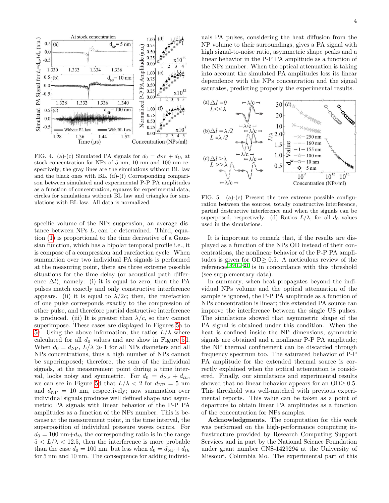

 $\overline{5}$  $\overline{4}$ 

 $x10$ 

 $\frac{1}{3}$  4 5

 $\overline{2}$ 

Concentration (NPs/ml)

 $0.25$ 

 $0.00$ 

 $1.00$ 

0.75

0.50

0.25

 $0.00$ 

FIG. 4. (a)-(c) Simulated PA signals for  $d_0 = d_{\text{NP}} + d_{th}$  at stock concentration for NPs of 5 nm, 10 nm and 100 nm respectively; the gray lines are the simulations without BL law and the black ones with BL. (d)-(f) Corresponding comparison between simulated and experimental P-P PA amplitudes as a function of concentration, squares for experimental data, circles for simulations without BL law and triangles for simulations with BL law. All data is normalized.

At stock concentration

1.334

1.336

1.44

1.336

1.340

 $d_{NP}$  = 100 nm

With BL Law

1.52

Simulated PA Signal for  $d_0 = d_{\text{up}} + d_{\text{th}}$  (a.u.)

 $0.5 \text{ (a)}$ 

1.330

 $0.5$ <sub>(b)</sub>

 $0.5 | (c)$ 

 $0.0$ 

 $-0.5$ 

1.328

<span id="page-3-0"></span>1.28

1.332

1.332

Without BL law

 $\frac{1.36}{\text{Time (µs)}}$ 

 $0.0$ 

 $-0.5$ 

 $0.0$ 

 $-0.5$ 

specific volume of the NPs suspension, an average distance between NPs L, can be determined. Third, equation [\(1\)](#page-1-2) is proportional to the time derivative of a Gaussian function, which has a bipolar temporal profile i.e., it is compose of a compression and rarefaction cycle. When summation over two individual PA signals is performed at the measuring point, there are three extreme possible situations for the time delay (or acoustical path difference  $\Delta l$ ), namely: (i) it is equal to zero, then the PA pulses match exactly and only constructive interference appears. (ii) it is equal to  $\lambda/2c$ ; then, the rarefaction of one pulse corresponds exactly to the compression of other pulse, and therefore partial destructive interference is produced. (iii) It is greater than  $\lambda/c$ , so they cannot superimpose. These cases are displayed in Figures [5a](#page-3-1) to [5c](#page-3-1). Using the above information, the ratios  $L/\lambda$  where calculated for all  $d_0$  values and are show in Figure [5d](#page-3-1). When  $d_0 = d_{\text{NP}}$ ,  $L/\lambda \gg 1$  for all NPs diameters and all NPs concentrations, thus a high number of NPs cannot be superimposed; therefore, the sum of the individual signals, at the measurement point during a time interval, looks noisy and symmetric. For  $d_0 = d_{\text{NP}} + d_{th}$ , we can see in Figure [5d](#page-3-1) that  $L/\lambda < 2$  for  $d_{\rm NP} = 5$  nm and  $d_{\text{NP}} = 10$  nm, respectively; now summation over individual signals produces well defined shape and asymmetric PA signals with linear behavior of the P-P PA amplitudes as a function of the NPs number. This is because at the measurement point, in the time interval, the superposition of individual pressure waves occurs. For  $d_0 = 100$  nm+ $d_{th}$  the corresponding ratio is in the range  $5 < L/\lambda < 12.5$ , then the interference is more probable than the case  $d_0 = 100$  nm, but less when  $d_0 = d_{\text{NP}} + d_{th}$ for 5 nm and 10 nm. The consequence for adding individ-

uals PA pulses, considering the heat diffusion from the NP volume to their surroundings, gives a PA signal with high signal-to-noise ratio, asymmetric shape peaks and a linear behavior in the P-P PA amplitude as a function of the NPs number. When the optical attenuation is taking into account the simulated PA amplitudes loss its linear dependence with the NPs concentration and the signal saturates, predicting properly the experimental results.



<span id="page-3-1"></span>FIG. 5. (a)-(c) Present the tree extreme possible configuration between the sources, totally constructive interference, partial destructive interference and when the signals can be superposed, respectively. (d) Ratios  $L/\lambda$ , for all  $d_0$  values used in the simulations.

It is important to remark that, if the results are displayed as a function of the NPs OD instead of their concentrations, the nonlinear behavior of the P-P PA amplitudes is given for OD≥ 0.5. A meticulous review of the references<sup>[3](#page-4-2)[,9,](#page-4-8)[11–](#page-4-10)[21](#page-4-19)</sup> is in concordance with this threshold (see supplementary data).

In summary, when heat propagates beyond the individual NPs volume and the optical attenuation of the sample is ignored, the P-P PA amplitude as a function of NPs concentration is linear; this extended PA source can improve the interference between the single US pulses. The simulations showed that asymmetric shape of the PA signal is obtained under this condition. When the heat is confined inside the NP dimensions, symmetric signals are obtained and a nonlinear P-P PA amplitude; the NP thermal confinement can be discarded through frequency spectrum too. The saturated behavior of P-P PA amplitude for the extended thermal source is correctly explained when the optical attenuation is considered. Finally, our simulations and experimental results showed that no linear behavior appears for an OD> 0.5. This threshold was well-matched with previous experimental reports. This value can be taken as a point of departure to obtain linear PA amplitudes as a function of the concentration for NPs samples.

Acknowledgments. The computation for this work was performed on the high-performance computing infrastructure provided by Research Computing Support Services and in part by the National Science Foundation under grant number CNS-1429294 at the University of Missouri, Columbia Mo. The experimental part of this